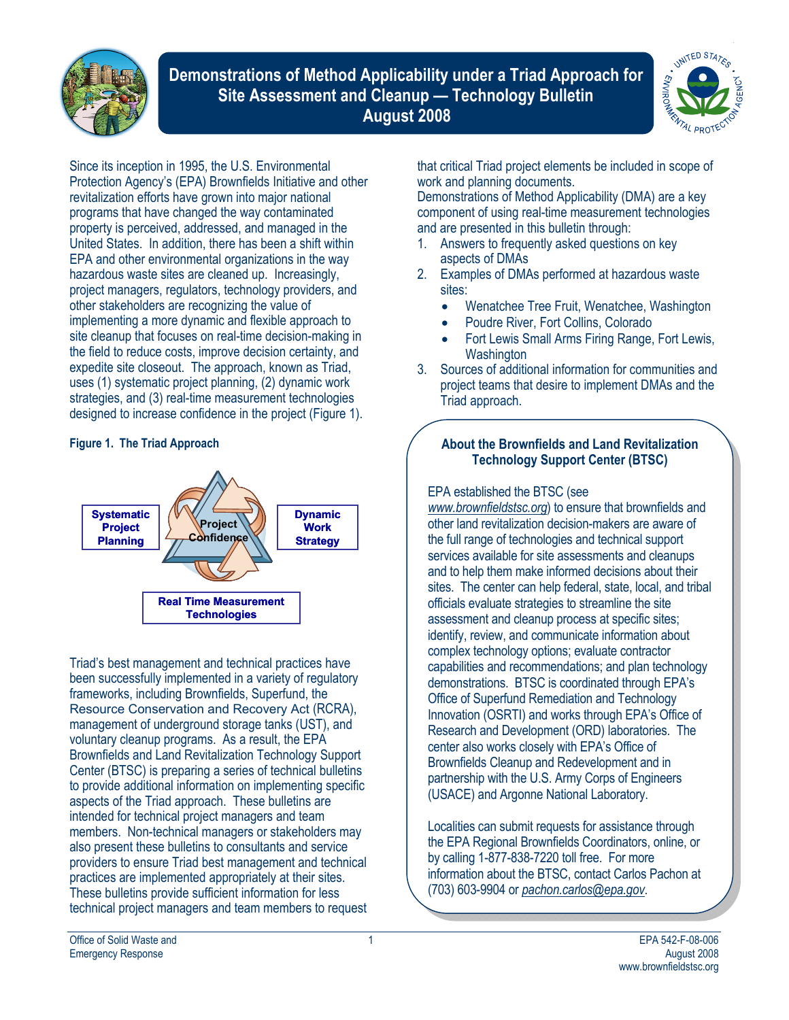

# **Demonstrations of Method Applicability under a Triad Approach for Site Assessment and Cleanup — Technology Bulletin August 2008**



Since its inception in 1995, the U.S. Environmental Protection Agency's (EPA) Brownfields Initiative and other revitalization efforts have grown into major national programs that have changed the way contaminated property is perceived, addressed, and managed in the United States. In addition, there has been a shift within EPA and other environmental organizations in the way hazardous waste sites are cleaned up. Increasingly, project managers, regulators, technology providers, and other stakeholders are recognizing the value of implementing a more dynamic and flexible approach to site cleanup that focuses on real-time decision-making in the field to reduce costs, improve decision certainty, and expedite site closeout. The approach, known as Triad, uses (1) systematic project planning, (2) dynamic work strategies, and (3) real-time measurement technologies designed to increase confidence in the project (Figure 1).

## **Figure 1. The Triad Approach**



Triad's best management and technical practices have been successfully implemented in a variety of regulatory frameworks, including Brownfields, Superfund, the Resource Conservation and Recovery Act (RCRA), management of underground storage tanks (UST), and voluntary cleanup programs. As a result, the EPA Brownfields and Land Revitalization Technology Support Center (BTSC) is preparing a series of technical bulletins to provide additional information on implementing specific aspects of the Triad approach. These bulletins are intended for technical project managers and team members. Non-technical managers or stakeholders may also present these bulletins to consultants and service providers to ensure Triad best management and technical practices are implemented appropriately at their sites. These bulletins provide sufficient information for less technical project managers and team members to request

that critical Triad project elements be included in scope of work and planning documents.

Demonstrations of Method Applicability (DMA) are a key component of using real-time measurement technologies and are presented in this bulletin through:

- 1. Answers to frequently asked questions on key aspects of DMAs
- 2. Examples of DMAs performed at hazardous waste sites:
	- Wenatchee Tree Fruit, Wenatchee, Washington
	- Poudre River, Fort Collins, Colorado
	- Fort Lewis Small Arms Firing Range, Fort Lewis, **Washington**
- 3. Sources of additional information for communities and project teams that desire to implement DMAs and the Triad approach.

## **About the Brownfields and Land Revitalization Technology Support Center (BTSC)**

### EPA established the BTSC (see

*[www.brownfieldstsc.org](http://www.brownfieldstsc.org)*) to ensure that brownfields and other land revitalization decision-makers are aware of the full range of technologies and technical support services available for site assessments and cleanups and to help them make informed decisions about their sites. The center can help federal, state, local, and tribal officials evaluate strategies to streamline the site assessment and cleanup process at specific sites; identify, review, and communicate information about complex technology options; evaluate contractor capabilities and recommendations; and plan technology demonstrations. BTSC is coordinated through EPA's Office of Superfund Remediation and Technology Innovation (OSRTI) and works through EPA's Office of Research and Development (ORD) laboratories. The center also works closely with EPA's Office of Brownfields Cleanup and Redevelopment and in partnership with the U.S. Army Corps of Engineers (USACE) and Argonne National Laboratory.

Localities can submit requests for assistance through the EPA Regional Brownfields Coordinators, online, or by calling 1-877-838-7220 toll free. For more information about the BTSC, contact Carlos Pachon at (703) 603-9904 or *[pachon.carlos@epa.gov](mailto:pachon.carlos@epa.gov)*.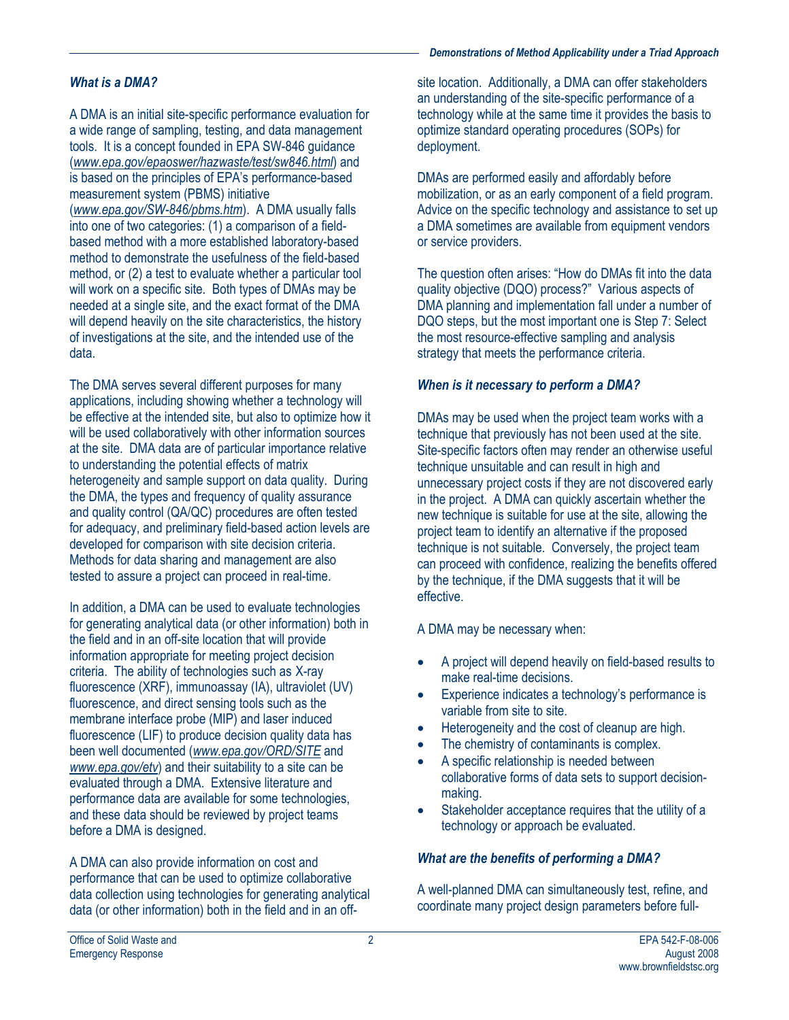## *What is a DMA?*

A DMA is an initial site-specific performance evaluation for a wide range of sampling, testing, and data management tools. It is a concept founded in EPA SW-846 guidance (*[www.epa.gov/epaoswer/hazwaste/test/sw846.html](http://www.epa.gov/epaoswer/hazwaste/test/sw846.html)*) and is based on the principles of EPA's performance-based measurement system (PBMS) initiative (*[www.epa.gov/SW-846/pbms.htm](http://www.epa.gov/SW-846/pbms.htm)*). A DMA usually falls

into one of two categories: (1) a comparison of a fieldbased method with a more established laboratory-based method to demonstrate the usefulness of the field-based method, or (2) a test to evaluate whether a particular tool will work on a specific site. Both types of DMAs may be needed at a single site, and the exact format of the DMA will depend heavily on the site characteristics, the history of investigations at the site, and the intended use of the data.

The DMA serves several different purposes for many applications, including showing whether a technology will be effective at the intended site, but also to optimize how it will be used collaboratively with other information sources at the site. DMA data are of particular importance relative to understanding the potential effects of matrix heterogeneity and sample support on data quality. During the DMA, the types and frequency of quality assurance and quality control (QA/QC) procedures are often tested for adequacy, and preliminary field-based action levels are developed for comparison with site decision criteria. Methods for data sharing and management are also tested to assure a project can proceed in real-time.

In addition, a DMA can be used to evaluate technologies for generating analytical data (or other information) both in the field and in an off-site location that will provide information appropriate for meeting project decision criteria. The ability of technologies such as X-ray fluorescence (XRF), immunoassay (IA), ultraviolet (UV) fluorescence, and direct sensing tools such as the membrane interface probe (MIP) and laser induced fluorescence (LIF) to produce decision quality data has been well documented (*[www.epa.gov/ORD/SITE](http://www.epa.gov/ORD/SITEandwww.epa.gov/etv)* and *[www.epa.gov/etv](http://www.epa.gov/ORD/SITEandwww.epa.gov/etv)*) and their suitability to a site can be evaluated through a DMA. Extensive literature and performance data are available for some technologies, and these data should be reviewed by project teams before a DMA is designed.

A DMA can also provide information on cost and performance that can be used to optimize collaborative data collection using technologies for generating analytical data (or other information) both in the field and in an offsite location. Additionally, a DMA can offer stakeholders an understanding of the site-specific performance of a technology while at the same time it provides the basis to optimize standard operating procedures (SOPs) for deployment.

DMAs are performed easily and affordably before mobilization, or as an early component of a field program. Advice on the specific technology and assistance to set up a DMA sometimes are available from equipment vendors or service providers.

The question often arises: "How do DMAs fit into the data quality objective (DQO) process?" Various aspects of DMA planning and implementation fall under a number of DQO steps, but the most important one is Step 7: Select the most resource-effective sampling and analysis strategy that meets the performance criteria.

### *When is it necessary to perform a DMA?*

DMAs may be used when the project team works with a technique that previously has not been used at the site. Site-specific factors often may render an otherwise useful technique unsuitable and can result in high and unnecessary project costs if they are not discovered early in the project. A DMA can quickly ascertain whether the new technique is suitable for use at the site, allowing the project team to identify an alternative if the proposed technique is not suitable. Conversely, the project team can proceed with confidence, realizing the benefits offered by the technique, if the DMA suggests that it will be effective.

A DMA may be necessary when:

- A project will depend heavily on field-based results to make real-time decisions.
- Experience indicates a technology's performance is variable from site to site.
- Heterogeneity and the cost of cleanup are high.
- The chemistry of contaminants is complex.
- A specific relationship is needed between collaborative forms of data sets to support decisionmaking.
- Stakeholder acceptance requires that the utility of a technology or approach be evaluated.

## *What are the benefits of performing a DMA?*

A well-planned DMA can simultaneously test, refine, and coordinate many project design parameters before full-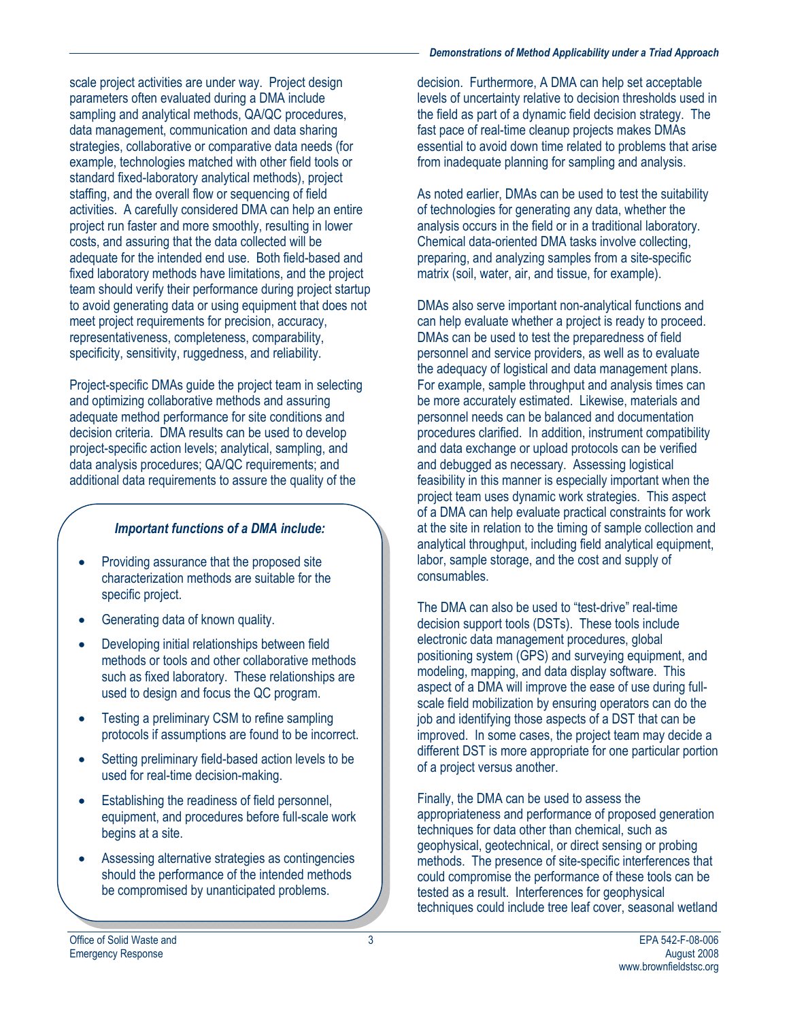scale project activities are under way. Project design parameters often evaluated during a DMA include sampling and analytical methods, QA/QC procedures, data management, communication and data sharing strategies, collaborative or comparative data needs (for example, technologies matched with other field tools or standard fixed-laboratory analytical methods), project staffing, and the overall flow or sequencing of field activities. A carefully considered DMA can help an entire project run faster and more smoothly, resulting in lower costs, and assuring that the data collected will be adequate for the intended end use. Both field-based and fixed laboratory methods have limitations, and the project team should verify their performance during project startup to avoid generating data or using equipment that does not meet project requirements for precision, accuracy, representativeness, completeness, comparability, specificity, sensitivity, ruggedness, and reliability.

Project-specific DMAs guide the project team in selecting and optimizing collaborative methods and assuring adequate method performance for site conditions and decision criteria. DMA results can be used to develop project-specific action levels; analytical, sampling, and data analysis procedures; QA/QC requirements; and additional data requirements to assure the quality of the

# *Important functions of a DMA include:*

- Providing assurance that the proposed site characterization methods are suitable for the specific project.
- Generating data of known quality.
- Developing initial relationships between field methods or tools and other collaborative methods such as fixed laboratory. These relationships are used to design and focus the QC program.
- Testing a preliminary CSM to refine sampling protocols if assumptions are found to be incorrect.
- Setting preliminary field-based action levels to be used for real-time decision-making.
- Establishing the readiness of field personnel, equipment, and procedures before full-scale work begins at a site.
- Assessing alternative strategies as contingencies should the performance of the intended methods be compromised by unanticipated problems.

decision. Furthermore, A DMA can help set acceptable levels of uncertainty relative to decision thresholds used in the field as part of a dynamic field decision strategy. The fast pace of real-time cleanup projects makes DMAs essential to avoid down time related to problems that arise from inadequate planning for sampling and analysis.

As noted earlier, DMAs can be used to test the suitability of technologies for generating any data, whether the analysis occurs in the field or in a traditional laboratory. Chemical data-oriented DMA tasks involve collecting, preparing, and analyzing samples from a site-specific matrix (soil, water, air, and tissue, for example).

DMAs also serve important non-analytical functions and can help evaluate whether a project is ready to proceed. DMAs can be used to test the preparedness of field personnel and service providers, as well as to evaluate the adequacy of logistical and data management plans. For example, sample throughput and analysis times can be more accurately estimated. Likewise, materials and personnel needs can be balanced and documentation procedures clarified. In addition, instrument compatibility and data exchange or upload protocols can be verified and debugged as necessary. Assessing logistical feasibility in this manner is especially important when the project team uses dynamic work strategies. This aspect of a DMA can help evaluate practical constraints for work at the site in relation to the timing of sample collection and analytical throughput, including field analytical equipment, labor, sample storage, and the cost and supply of consumables.

The DMA can also be used to "test-drive" real-time decision support tools (DSTs). These tools include electronic data management procedures, global positioning system (GPS) and surveying equipment, and modeling, mapping, and data display software. This aspect of a DMA will improve the ease of use during fullscale field mobilization by ensuring operators can do the job and identifying those aspects of a DST that can be improved. In some cases, the project team may decide a different DST is more appropriate for one particular portion of a project versus another.

Finally, the DMA can be used to assess the appropriateness and performance of proposed generation techniques for data other than chemical, such as geophysical, geotechnical, or direct sensing or probing methods. The presence of site-specific interferences that could compromise the performance of these tools can be tested as a result. Interferences for geophysical techniques could include tree leaf cover, seasonal wetland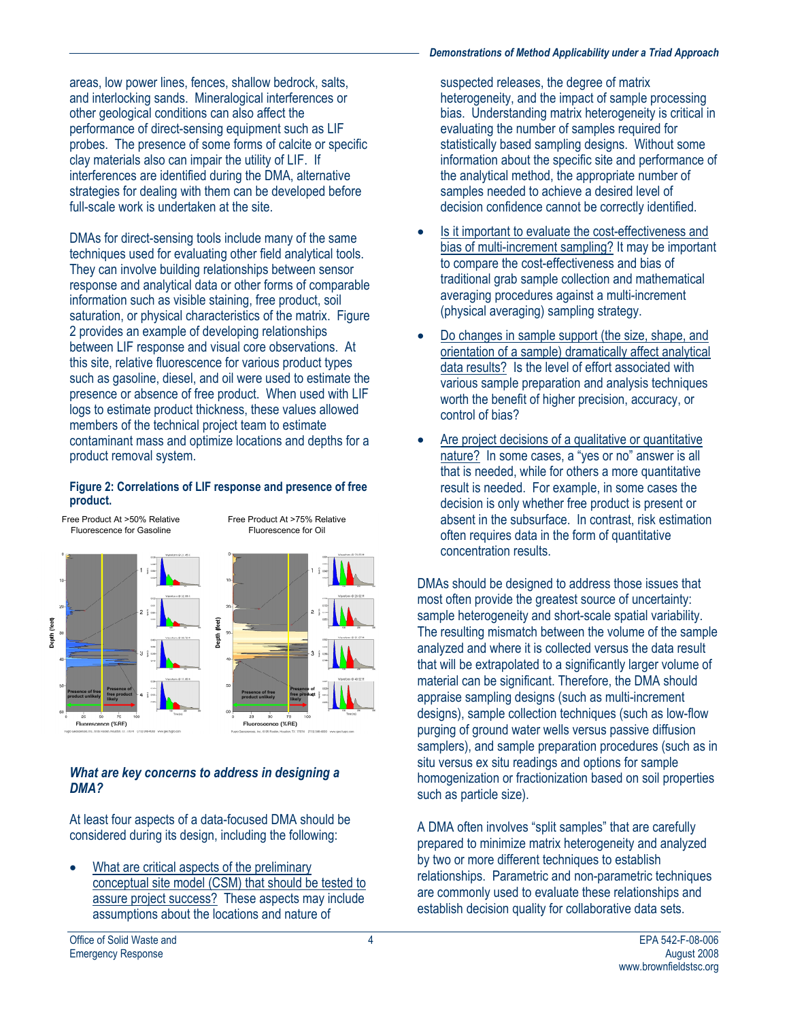areas, low power lines, fences, shallow bedrock, salts, and interlocking sands. Mineralogical interferences or other geological conditions can also affect the performance of direct-sensing equipment such as LIF probes. The presence of some forms of calcite or specific clay materials also can impair the utility of LIF. If interferences are identified during the DMA, alternative strategies for dealing with them can be developed before full-scale work is undertaken at the site.

DMAs for direct-sensing tools include many of the same techniques used for evaluating other field analytical tools. They can involve building relationships between sensor response and analytical data or other forms of comparable information such as visible staining, free product, soil saturation, or physical characteristics of the matrix. Figure 2 provides an example of developing relationships between LIF response and visual core observations. At this site, relative fluorescence for various product types such as gasoline, diesel, and oil were used to estimate the presence or absence of free product. When used with LIF logs to estimate product thickness, these values allowed members of the technical project team to estimate contaminant mass and optimize locations and depths for a product removal system.

#### **Figure 2: Correlations of LIF response and presence of free product.**



Free Product At >75% Relative Fluorescence for Oil



## *What are key concerns to address in designing a DMA?*

At least four aspects of a data-focused DMA should be considered during its design, including the following:

• What are critical aspects of the preliminary conceptual site model (CSM) that should be tested to assure project success? These aspects may include assumptions about the locations and nature of

suspected releases, the degree of matrix heterogeneity, and the impact of sample processing bias. Understanding matrix heterogeneity is critical in evaluating the number of samples required for statistically based sampling designs. Without some information about the specific site and performance of the analytical method, the appropriate number of samples needed to achieve a desired level of decision confidence cannot be correctly identified.

- Is it important to evaluate the cost-effectiveness and bias of multi-increment sampling? It may be important to compare the cost-effectiveness and bias of traditional grab sample collection and mathematical averaging procedures against a multi-increment (physical averaging) sampling strategy.
- Do changes in sample support (the size, shape, and orientation of a sample) dramatically affect analytical data results? Is the level of effort associated with various sample preparation and analysis techniques worth the benefit of higher precision, accuracy, or control of bias?
- Are project decisions of a qualitative or quantitative nature? In some cases, a "yes or no" answer is all that is needed, while for others a more quantitative result is needed. For example, in some cases the decision is only whether free product is present or absent in the subsurface. In contrast, risk estimation often requires data in the form of quantitative concentration results.

DMAs should be designed to address those issues that most often provide the greatest source of uncertainty: sample heterogeneity and short-scale spatial variability. The resulting mismatch between the volume of the sample analyzed and where it is collected versus the data result that will be extrapolated to a significantly larger volume of material can be significant. Therefore, the DMA should appraise sampling designs (such as multi-increment designs), sample collection techniques (such as low-flow purging of ground water wells versus passive diffusion samplers), and sample preparation procedures (such as in situ versus ex situ readings and options for sample homogenization or fractionization based on soil properties such as particle size).

A DMA often involves "split samples" that are carefully prepared to minimize matrix heterogeneity and analyzed by two or more different techniques to establish relationships. Parametric and non-parametric techniques are commonly used to evaluate these relationships and establish decision quality for collaborative data sets.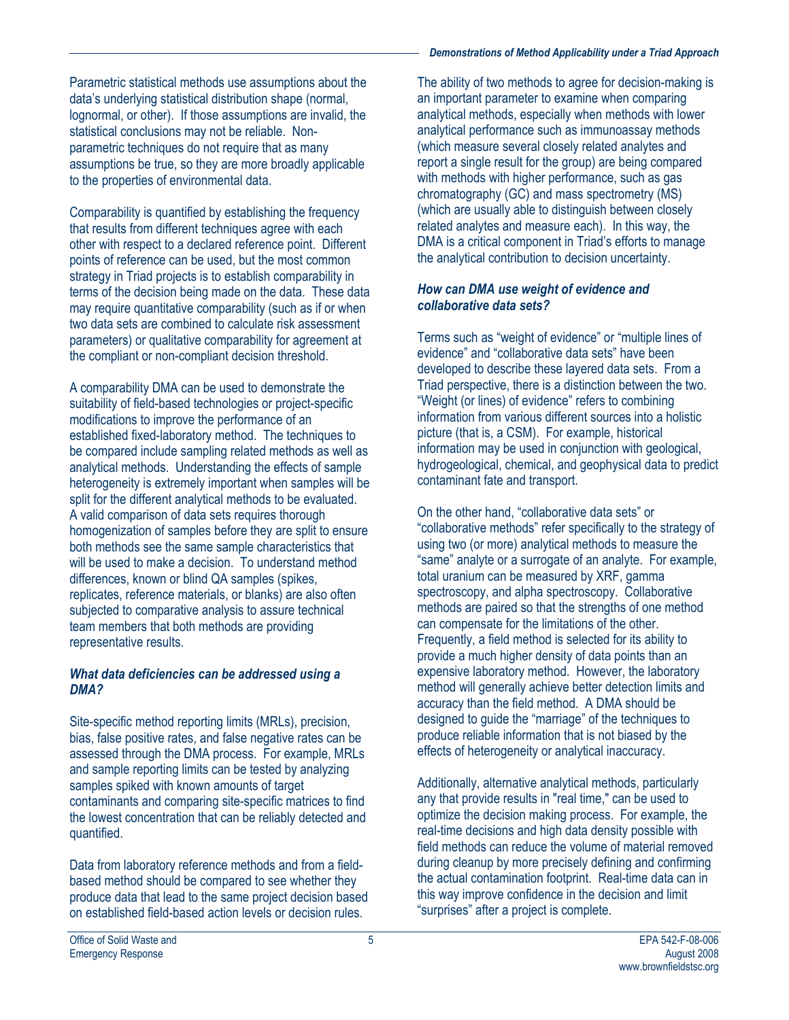Parametric statistical methods use assumptions about the data's underlying statistical distribution shape (normal, lognormal, or other). If those assumptions are invalid, the statistical conclusions may not be reliable. Nonparametric techniques do not require that as many assumptions be true, so they are more broadly applicable to the properties of environmental data.

Comparability is quantified by establishing the frequency that results from different techniques agree with each other with respect to a declared reference point. Different points of reference can be used, but the most common strategy in Triad projects is to establish comparability in terms of the decision being made on the data. These data may require quantitative comparability (such as if or when two data sets are combined to calculate risk assessment parameters) or qualitative comparability for agreement at the compliant or non-compliant decision threshold.

A comparability DMA can be used to demonstrate the suitability of field-based technologies or project-specific modifications to improve the performance of an established fixed-laboratory method. The techniques to be compared include sampling related methods as well as analytical methods. Understanding the effects of sample heterogeneity is extremely important when samples will be split for the different analytical methods to be evaluated. A valid comparison of data sets requires thorough homogenization of samples before they are split to ensure both methods see the same sample characteristics that will be used to make a decision. To understand method differences, known or blind QA samples (spikes, replicates, reference materials, or blanks) are also often subjected to comparative analysis to assure technical team members that both methods are providing representative results.

## *What data deficiencies can be addressed using a DMA?*

Site-specific method reporting limits (MRLs), precision, bias, false positive rates, and false negative rates can be assessed through the DMA process. For example, MRLs and sample reporting limits can be tested by analyzing samples spiked with known amounts of target contaminants and comparing site-specific matrices to find the lowest concentration that can be reliably detected and quantified.

Data from laboratory reference methods and from a fieldbased method should be compared to see whether they produce data that lead to the same project decision based on established field-based action levels or decision rules.

The ability of two methods to agree for decision-making is an important parameter to examine when comparing analytical methods, especially when methods with lower analytical performance such as immunoassay methods (which measure several closely related analytes and report a single result for the group) are being compared with methods with higher performance, such as gas chromatography (GC) and mass spectrometry (MS) (which are usually able to distinguish between closely related analytes and measure each). In this way, the DMA is a critical component in Triad's efforts to manage the analytical contribution to decision uncertainty.

## *How can DMA use weight of evidence and collaborative data sets?*

Terms such as "weight of evidence" or "multiple lines of evidence" and "collaborative data sets" have been developed to describe these layered data sets. From a Triad perspective, there is a distinction between the two. "Weight (or lines) of evidence" refers to combining information from various different sources into a holistic picture (that is, a CSM). For example, historical information may be used in conjunction with geological, hydrogeological, chemical, and geophysical data to predict contaminant fate and transport.

On the other hand, "collaborative data sets" or "collaborative methods" refer specifically to the strategy of using two (or more) analytical methods to measure the "same" analyte or a surrogate of an analyte. For example, total uranium can be measured by XRF, gamma spectroscopy, and alpha spectroscopy. Collaborative methods are paired so that the strengths of one method can compensate for the limitations of the other. Frequently, a field method is selected for its ability to provide a much higher density of data points than an expensive laboratory method. However, the laboratory method will generally achieve better detection limits and accuracy than the field method. A DMA should be designed to guide the "marriage" of the techniques to produce reliable information that is not biased by the effects of heterogeneity or analytical inaccuracy.

Additionally, alternative analytical methods, particularly any that provide results in "real time," can be used to optimize the decision making process. For example, the real-time decisions and high data density possible with field methods can reduce the volume of material removed during cleanup by more precisely defining and confirming the actual contamination footprint. Real-time data can in this way improve confidence in the decision and limit "surprises" after a project is complete.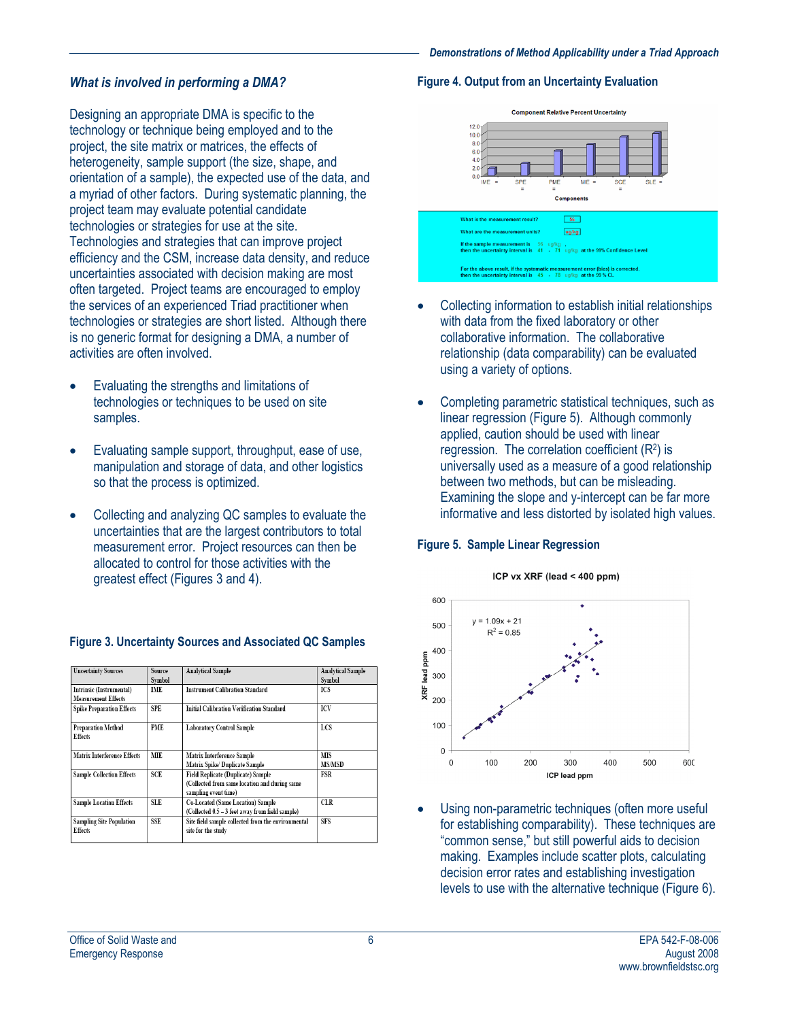**Figure 4. Output from an Uncertainty Evaluation** 

## *What is involved in performing a DMA?*

Designing an appropriate DMA is specific to the technology or technique being employed and to the project, the site matrix or matrices, the effects of heterogeneity, sample support (the size, shape, and orientation of a sample), the expected use of the data, and a myriad of other factors. During systematic planning, the project team may evaluate potential candidate technologies or strategies for use at the site. Technologies and strategies that can improve project efficiency and the CSM, increase data density, and reduce uncertainties associated with decision making are most often targeted. Project teams are encouraged to employ the services of an experienced Triad practitioner when technologies or strategies are short listed. Although there is no generic format for designing a DMA, a number of activities are often involved.

- Evaluating the strengths and limitations of technologies or techniques to be used on site samples.
- Evaluating sample support, throughput, ease of use, manipulation and storage of data, and other logistics so that the process is optimized.
- Collecting and analyzing QC samples to evaluate the uncertainties that are the largest contributors to total measurement error. Project resources can then be allocated to control for those activities with the greatest effect (Figures 3 and 4).

| <b>Uncertainty Sources</b>       | Source<br>Symbol | <b>Analytical Sample</b>                           | <b>Analytical Sample</b><br>Symbol |
|----------------------------------|------------------|----------------------------------------------------|------------------------------------|
|                                  |                  |                                                    |                                    |
| Intrinsic (Instrumental)         | IME              | <b>Instrument Calibration Standard</b>             | ICS                                |
| <b>Measurement Effects</b>       |                  |                                                    |                                    |
| <b>Spike Preparation Effects</b> | <b>SPE</b>       | Initial Calibration Verification Standard          | ICV                                |
| Preparation Method               | PME              | Laboratory Control Sample                          | <b>LCS</b>                         |
| <b>Effects</b>                   |                  |                                                    |                                    |
| Matrix Interference Effects      | MIE              | Matrix Interference Sample                         | MIS                                |
|                                  |                  | Matrix Spike/ Duplicate Sample                     | <b>MS/MSD</b>                      |
| <b>Sample Collection Effects</b> | SCE              | Field Replicate (Duplicate) Sample                 | <b>FSR</b>                         |
|                                  |                  | (Collected from same location and during same      |                                    |
|                                  |                  | sampling event time)                               |                                    |
| <b>Sample Location Effects</b>   | SLE              | <b>Co-Located (Same Location) Sample</b>           | <b>CLR</b>                         |
|                                  |                  | (Collected 0.5 - 3 feet away from field sample)    |                                    |
| <b>Sampling Site Population</b>  | SSE              | Site field sample collected from the environmental | <b>SFS</b>                         |
| <b>Effects</b>                   |                  | site for the study                                 |                                    |
|                                  |                  |                                                    |                                    |

## **Figure 3. Uncertainty Sources and Associated QC Samples**



- Collecting information to establish initial relationships with data from the fixed laboratory or other collaborative information. The collaborative relationship (data comparability) can be evaluated using a variety of options.
- Completing parametric statistical techniques, such as linear regression (Figure 5). Although commonly applied, caution should be used with linear regression. The correlation coefficient (R2) is universally used as a measure of a good relationship between two methods, but can be misleading. Examining the slope and y-intercept can be far more informative and less distorted by isolated high values.

# **Figure 5. Sample Linear Regression**



• Using non-parametric techniques (often more useful for establishing comparability). These techniques are "common sense," but still powerful aids to decision making. Examples include scatter plots, calculating decision error rates and establishing investigation levels to use with the alternative technique (Figure 6).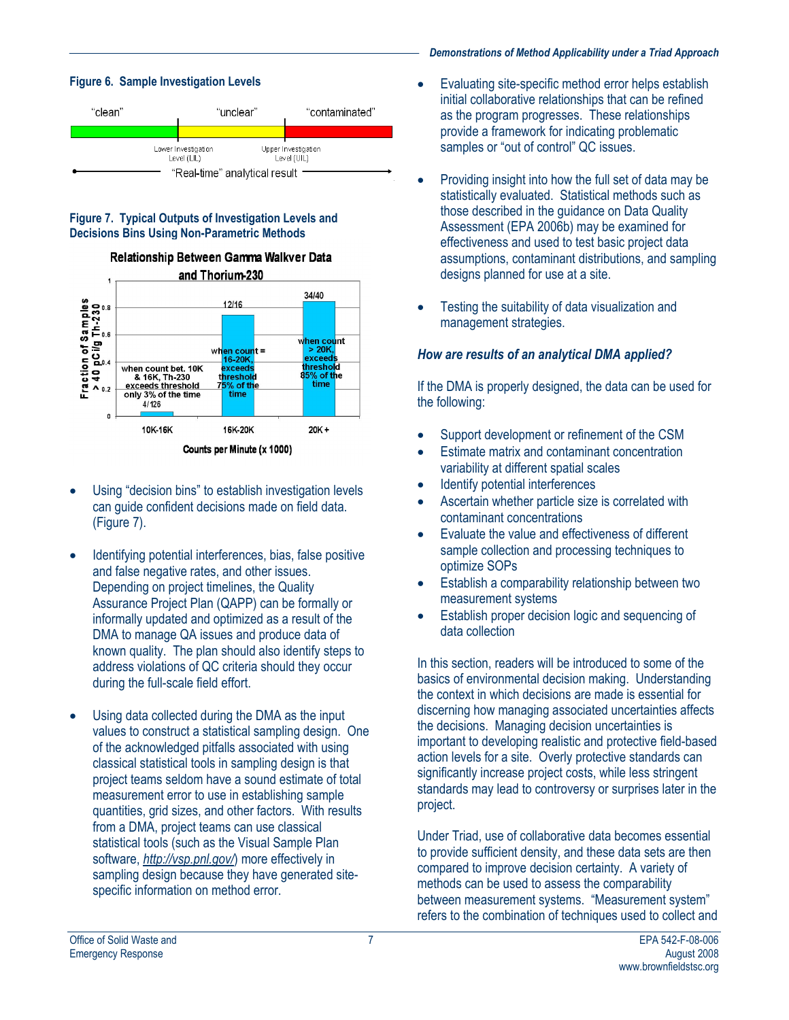#### **Figure 6. Sample Investigation Levels**



#### **Figure 7. Typical Outputs of Investigation Levels and Decisions Bins Using Non-Parametric Methods**



## Relationship Between Gamma Walkver Data

- Using "decision bins" to establish investigation levels can guide confident decisions made on field data. (Figure 7).
- Identifying potential interferences, bias, false positive and false negative rates, and other issues. Depending on project timelines, the Quality Assurance Project Plan (QAPP) can be formally or informally updated and optimized as a result of the DMA to manage QA issues and produce data of known quality. The plan should also identify steps to address violations of QC criteria should they occur during the full-scale field effort.
- Using data collected during the DMA as the input values to construct a statistical sampling design. One of the acknowledged pitfalls associated with using classical statistical tools in sampling design is that project teams seldom have a sound estimate of total measurement error to use in establishing sample quantities, grid sizes, and other factors. With results from a DMA, project teams can use classical statistical tools (such as the Visual Sample Plan software, *<http://vsp.pnl.gov/>*) more effectively in sampling design because they have generated sitespecific information on method error.
- Evaluating site-specific method error helps establish initial collaborative relationships that can be refined as the program progresses. These relationships provide a framework for indicating problematic samples or "out of control" QC issues.
- Providing insight into how the full set of data may be statistically evaluated. Statistical methods such as those described in the guidance on Data Quality Assessment (EPA 2006b) may be examined for effectiveness and used to test basic project data assumptions, contaminant distributions, and sampling designs planned for use at a site.
- Testing the suitability of data visualization and management strategies.

### *How are results of an analytical DMA applied?*

If the DMA is properly designed, the data can be used for the following:

- Support development or refinement of the CSM
- Estimate matrix and contaminant concentration variability at different spatial scales
- Identify potential interferences
- Ascertain whether particle size is correlated with contaminant concentrations
- Evaluate the value and effectiveness of different sample collection and processing techniques to optimize SOPs
- Establish a comparability relationship between two measurement systems
- Establish proper decision logic and sequencing of data collection

In this section, readers will be introduced to some of the basics of environmental decision making. Understanding the context in which decisions are made is essential for discerning how managing associated uncertainties affects the decisions. Managing decision uncertainties is important to developing realistic and protective field-based action levels for a site. Overly protective standards can significantly increase project costs, while less stringent standards may lead to controversy or surprises later in the project.

Under Triad, use of collaborative data becomes essential to provide sufficient density, and these data sets are then compared to improve decision certainty. A variety of methods can be used to assess the comparability between measurement systems. "Measurement system" refers to the combination of techniques used to collect and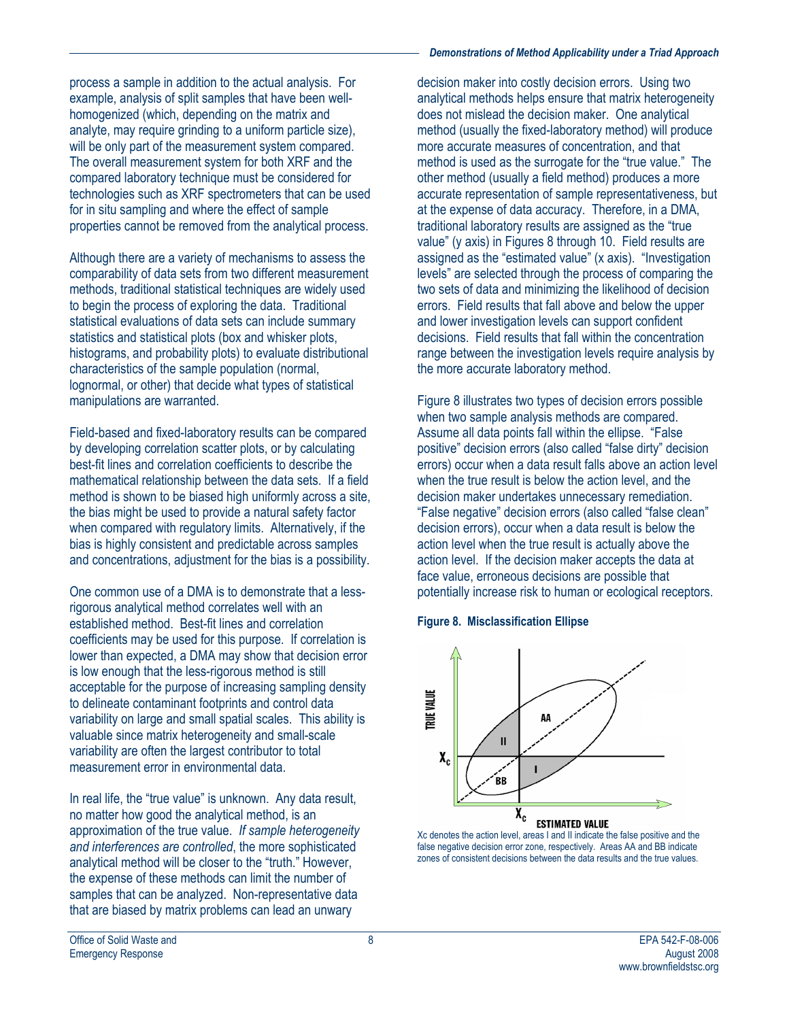process a sample in addition to the actual analysis. For example, analysis of split samples that have been wellhomogenized (which, depending on the matrix and analyte, may require grinding to a uniform particle size), will be only part of the measurement system compared. The overall measurement system for both XRF and the compared laboratory technique must be considered for technologies such as XRF spectrometers that can be used for in situ sampling and where the effect of sample properties cannot be removed from the analytical process.

Although there are a variety of mechanisms to assess the comparability of data sets from two different measurement methods, traditional statistical techniques are widely used to begin the process of exploring the data. Traditional statistical evaluations of data sets can include summary statistics and statistical plots (box and whisker plots, histograms, and probability plots) to evaluate distributional characteristics of the sample population (normal, lognormal, or other) that decide what types of statistical manipulations are warranted.

Field-based and fixed-laboratory results can be compared by developing correlation scatter plots, or by calculating best-fit lines and correlation coefficients to describe the mathematical relationship between the data sets. If a field method is shown to be biased high uniformly across a site, the bias might be used to provide a natural safety factor when compared with regulatory limits. Alternatively, if the bias is highly consistent and predictable across samples and concentrations, adjustment for the bias is a possibility.

One common use of a DMA is to demonstrate that a lessrigorous analytical method correlates well with an established method. Best-fit lines and correlation coefficients may be used for this purpose. If correlation is lower than expected, a DMA may show that decision error is low enough that the less-rigorous method is still acceptable for the purpose of increasing sampling density to delineate contaminant footprints and control data variability on large and small spatial scales. This ability is valuable since matrix heterogeneity and small-scale variability are often the largest contributor to total measurement error in environmental data.

In real life, the "true value" is unknown. Any data result, no matter how good the analytical method, is an approximation of the true value. *If sample heterogeneity and interferences are controlled*, the more sophisticated analytical method will be closer to the "truth." However, the expense of these methods can limit the number of samples that can be analyzed. Non-representative data that are biased by matrix problems can lead an unwary

decision maker into costly decision errors. Using two analytical methods helps ensure that matrix heterogeneity does not mislead the decision maker. One analytical method (usually the fixed-laboratory method) will produce more accurate measures of concentration, and that method is used as the surrogate for the "true value." The other method (usually a field method) produces a more accurate representation of sample representativeness, but at the expense of data accuracy. Therefore, in a DMA, traditional laboratory results are assigned as the "true value" (y axis) in Figures 8 through 10. Field results are assigned as the "estimated value" (x axis). "Investigation levels" are selected through the process of comparing the two sets of data and minimizing the likelihood of decision errors. Field results that fall above and below the upper and lower investigation levels can support confident decisions. Field results that fall within the concentration range between the investigation levels require analysis by the more accurate laboratory method.

Figure 8 illustrates two types of decision errors possible when two sample analysis methods are compared. Assume all data points fall within the ellipse. "False positive" decision errors (also called "false dirty" decision errors) occur when a data result falls above an action level when the true result is below the action level, and the decision maker undertakes unnecessary remediation. "False negative" decision errors (also called "false clean" decision errors), occur when a data result is below the action level when the true result is actually above the action level. If the decision maker accepts the data at face value, erroneous decisions are possible that potentially increase risk to human or ecological receptors.

#### **Figure 8. Misclassification Ellipse**



Xc denotes the action level, areas I and II indicate the false positive and the false negative decision error zone, respectively. Areas AA and BB indicate zones of consistent decisions between the data results and the true values.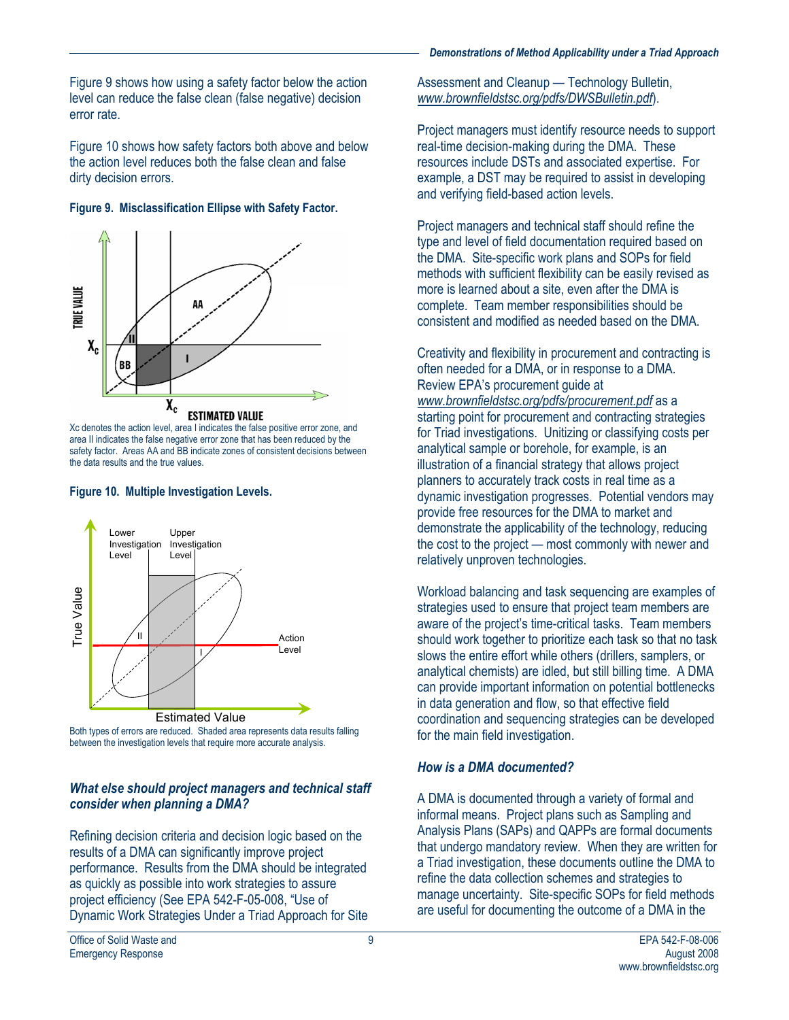Figure 9 shows how using a safety factor below the action level can reduce the false clean (false negative) decision error rate.

Figure 10 shows how safety factors both above and below the action level reduces both the false clean and false dirty decision errors.



**Figure 9. Misclassification Ellipse with Safety Factor.**

Xc denotes the action level, area I indicates the false positive error zone, and area II indicates the false negative error zone that has been reduced by the safety factor. Areas AA and BB indicate zones of consistent decisions between the data results and the true values.

#### **Figure 10. Multiple Investigation Levels.**



Both types of errors are reduced. Shaded area represents data results falling between the investigation levels that require more accurate analysis.

## *What else should project managers and technical staff consider when planning a DMA?*

Refining decision criteria and decision logic based on the results of a DMA can significantly improve project performance. Results from the DMA should be integrated as quickly as possible into work strategies to assure project efficiency (See EPA 542-F-05-008, "Use of Dynamic Work Strategies Under a Triad Approach for Site Assessment and Cleanup — Technology Bulletin, *[www.brownfieldstsc.org/pdfs/DWSBulletin.pdf](http://www.brownfieldstsc.org/pdfs/DWSBulletin.pdf)*).

Project managers must identify resource needs to support real-time decision-making during the DMA. These resources include DSTs and associated expertise. For example, a DST may be required to assist in developing and verifying field-based action levels.

Project managers and technical staff should refine the type and level of field documentation required based on the DMA. Site-specific work plans and SOPs for field methods with sufficient flexibility can be easily revised as more is learned about a site, even after the DMA is complete. Team member responsibilities should be consistent and modified as needed based on the DMA.

Creativity and flexibility in procurement and contracting is often needed for a DMA, or in response to a DMA. Review EPA's procurement guide at *[www.brownfieldstsc.org/pdfs/procurement.pdf](http://www.brownfieldstsc.org/pdfs/procurement.pdf)* as a starting point for procurement and contracting strategies for Triad investigations. Unitizing or classifying costs per analytical sample or borehole, for example, is an illustration of a financial strategy that allows project planners to accurately track costs in real time as a dynamic investigation progresses. Potential vendors may provide free resources for the DMA to market and demonstrate the applicability of the technology, reducing the cost to the project — most commonly with newer and relatively unproven technologies.

Workload balancing and task sequencing are examples of strategies used to ensure that project team members are aware of the project's time-critical tasks. Team members should work together to prioritize each task so that no task slows the entire effort while others (drillers, samplers, or analytical chemists) are idled, but still billing time. A DMA can provide important information on potential bottlenecks in data generation and flow, so that effective field coordination and sequencing strategies can be developed for the main field investigation.

## *How is a DMA documented?*

A DMA is documented through a variety of formal and informal means. Project plans such as Sampling and Analysis Plans (SAPs) and QAPPs are formal documents that undergo mandatory review. When they are written for a Triad investigation, these documents outline the DMA to refine the data collection schemes and strategies to manage uncertainty. Site-specific SOPs for field methods are useful for documenting the outcome of a DMA in the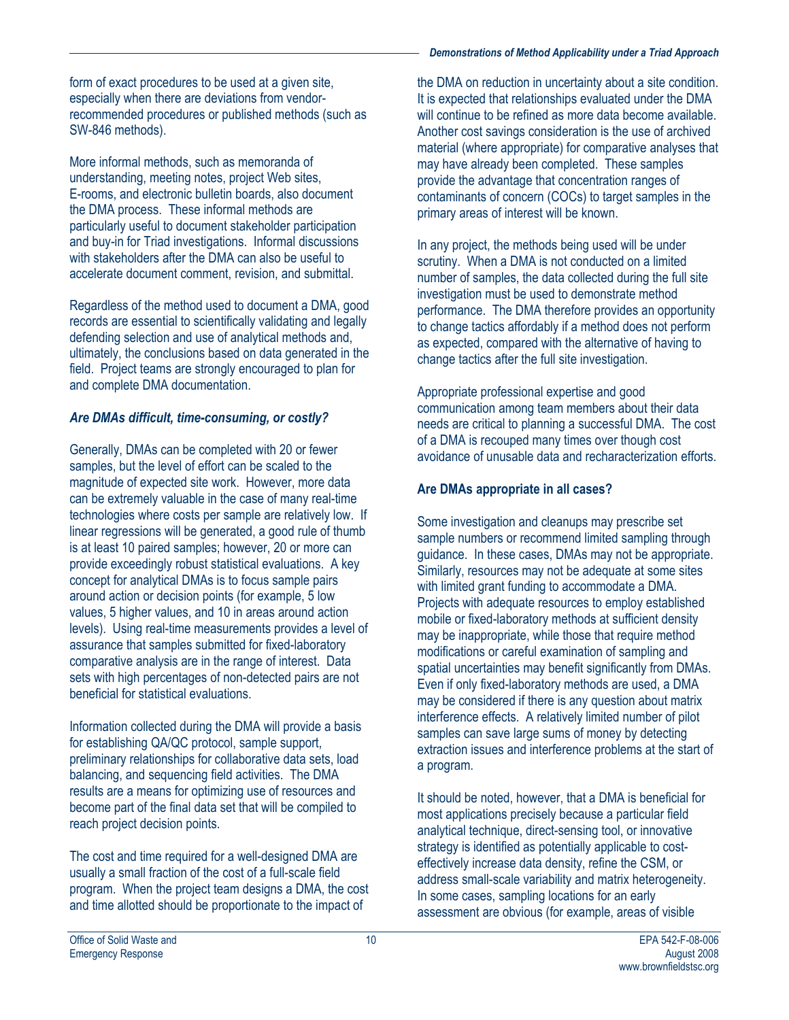form of exact procedures to be used at a given site. especially when there are deviations from vendorrecommended procedures or published methods (such as SW-846 methods).

More informal methods, such as memoranda of understanding, meeting notes, project Web sites, E-rooms, and electronic bulletin boards, also document the DMA process. These informal methods are particularly useful to document stakeholder participation and buy-in for Triad investigations. Informal discussions with stakeholders after the DMA can also be useful to accelerate document comment, revision, and submittal.

Regardless of the method used to document a DMA, good records are essential to scientifically validating and legally defending selection and use of analytical methods and, ultimately, the conclusions based on data generated in the field. Project teams are strongly encouraged to plan for and complete DMA documentation.

# *Are DMAs difficult, time-consuming, or costly?*

Generally, DMAs can be completed with 20 or fewer samples, but the level of effort can be scaled to the magnitude of expected site work. However, more data can be extremely valuable in the case of many real-time technologies where costs per sample are relatively low. If linear regressions will be generated, a good rule of thumb is at least 10 paired samples; however, 20 or more can provide exceedingly robust statistical evaluations. A key concept for analytical DMAs is to focus sample pairs around action or decision points (for example, 5 low values, 5 higher values, and 10 in areas around action levels). Using real-time measurements provides a level of assurance that samples submitted for fixed-laboratory comparative analysis are in the range of interest. Data sets with high percentages of non-detected pairs are not beneficial for statistical evaluations.

Information collected during the DMA will provide a basis for establishing QA/QC protocol, sample support, preliminary relationships for collaborative data sets, load balancing, and sequencing field activities. The DMA results are a means for optimizing use of resources and become part of the final data set that will be compiled to reach project decision points.

The cost and time required for a well-designed DMA are usually a small fraction of the cost of a full-scale field program. When the project team designs a DMA, the cost and time allotted should be proportionate to the impact of

the DMA on reduction in uncertainty about a site condition. It is expected that relationships evaluated under the DMA will continue to be refined as more data become available. Another cost savings consideration is the use of archived material (where appropriate) for comparative analyses that may have already been completed. These samples provide the advantage that concentration ranges of contaminants of concern (COCs) to target samples in the primary areas of interest will be known.

In any project, the methods being used will be under scrutiny. When a DMA is not conducted on a limited number of samples, the data collected during the full site investigation must be used to demonstrate method performance. The DMA therefore provides an opportunity to change tactics affordably if a method does not perform as expected, compared with the alternative of having to change tactics after the full site investigation.

Appropriate professional expertise and good communication among team members about their data needs are critical to planning a successful DMA. The cost of a DMA is recouped many times over though cost avoidance of unusable data and recharacterization efforts.

# **Are DMAs appropriate in all cases?**

Some investigation and cleanups may prescribe set sample numbers or recommend limited sampling through guidance. In these cases, DMAs may not be appropriate. Similarly, resources may not be adequate at some sites with limited grant funding to accommodate a DMA. Projects with adequate resources to employ established mobile or fixed-laboratory methods at sufficient density may be inappropriate, while those that require method modifications or careful examination of sampling and spatial uncertainties may benefit significantly from DMAs. Even if only fixed-laboratory methods are used, a DMA may be considered if there is any question about matrix interference effects. A relatively limited number of pilot samples can save large sums of money by detecting extraction issues and interference problems at the start of a program.

It should be noted, however, that a DMA is beneficial for most applications precisely because a particular field analytical technique, direct-sensing tool, or innovative strategy is identified as potentially applicable to costeffectively increase data density, refine the CSM, or address small-scale variability and matrix heterogeneity. In some cases, sampling locations for an early assessment are obvious (for example, areas of visible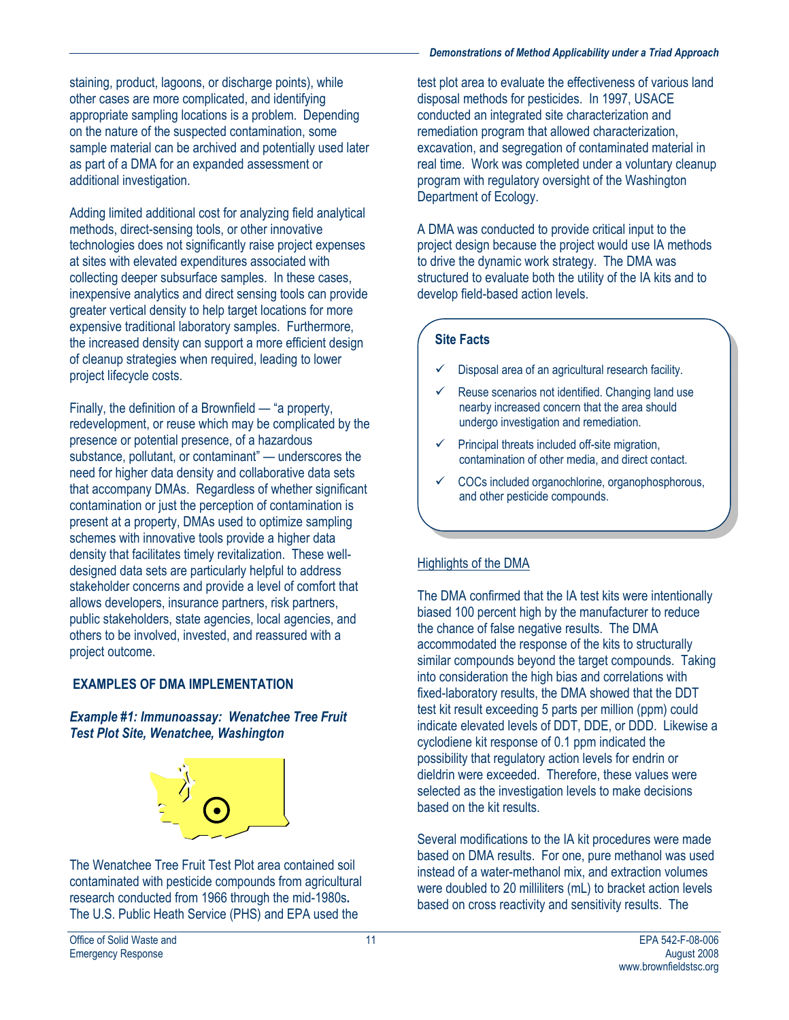staining, product, lagoons, or discharge points), while other cases are more complicated, and identifying appropriate sampling locations is a problem. Depending on the nature of the suspected contamination, some sample material can be archived and potentially used later as part of a DMA for an expanded assessment or additional investigation.

Adding limited additional cost for analyzing field analytical methods, direct-sensing tools, or other innovative technologies does not significantly raise project expenses at sites with elevated expenditures associated with collecting deeper subsurface samples. In these cases, inexpensive analytics and direct sensing tools can provide greater vertical density to help target locations for more expensive traditional laboratory samples. Furthermore, the increased density can support a more efficient design of cleanup strategies when required, leading to lower project lifecycle costs.

Finally, the definition of a Brownfield — "a property, redevelopment, or reuse which may be complicated by the presence or potential presence, of a hazardous substance, pollutant, or contaminant" — underscores the need for higher data density and collaborative data sets that accompany DMAs. Regardless of whether significant contamination or just the perception of contamination is present at a property, DMAs used to optimize sampling schemes with innovative tools provide a higher data density that facilitates timely revitalization. These welldesigned data sets are particularly helpful to address stakeholder concerns and provide a level of comfort that allows developers, insurance partners, risk partners, public stakeholders, state agencies, local agencies, and others to be involved, invested, and reassured with a project outcome.

## **EXAMPLES OF DMA IMPLEMENTATION**

*Example #1: Immunoassay: Wenatchee Tree Fruit Test Plot Site, Wenatchee, Washington* 



The Wenatchee Tree Fruit Test Plot area contained soil contaminated with pesticide compounds from agricultural research conducted from 1966 through the mid-1980s**.**  The U.S. Public Heath Service (PHS) and EPA used the

test plot area to evaluate the effectiveness of various land disposal methods for pesticides. In 1997, USACE conducted an integrated site characterization and remediation program that allowed characterization, excavation, and segregation of contaminated material in real time. Work was completed under a voluntary cleanup program with regulatory oversight of the Washington Department of Ecology.

A DMA was conducted to provide critical input to the project design because the project would use IA methods to drive the dynamic work strategy. The DMA was structured to evaluate both the utility of the IA kits and to develop field-based action levels.

## **Site Facts**

- Disposal area of an agricultural research facility.
- Reuse scenarios not identified. Changing land use nearby increased concern that the area should undergo investigation and remediation.
- Principal threats included off-site migration, contamination of other media, and direct contact.
- $\checkmark$  COCs included organochlorine, organophosphorous, and other pesticide compounds.

## Highlights of the DMA

The DMA confirmed that the IA test kits were intentionally biased 100 percent high by the manufacturer to reduce the chance of false negative results. The DMA accommodated the response of the kits to structurally similar compounds beyond the target compounds. Taking into consideration the high bias and correlations with fixed-laboratory results, the DMA showed that the DDT test kit result exceeding 5 parts per million (ppm) could indicate elevated levels of DDT, DDE, or DDD. Likewise a cyclodiene kit response of 0.1 ppm indicated the possibility that regulatory action levels for endrin or dieldrin were exceeded. Therefore, these values were selected as the investigation levels to make decisions based on the kit results.

Several modifications to the IA kit procedures were made based on DMA results. For one, pure methanol was used instead of a water-methanol mix, and extraction volumes were doubled to 20 milliliters (mL) to bracket action levels based on cross reactivity and sensitivity results. The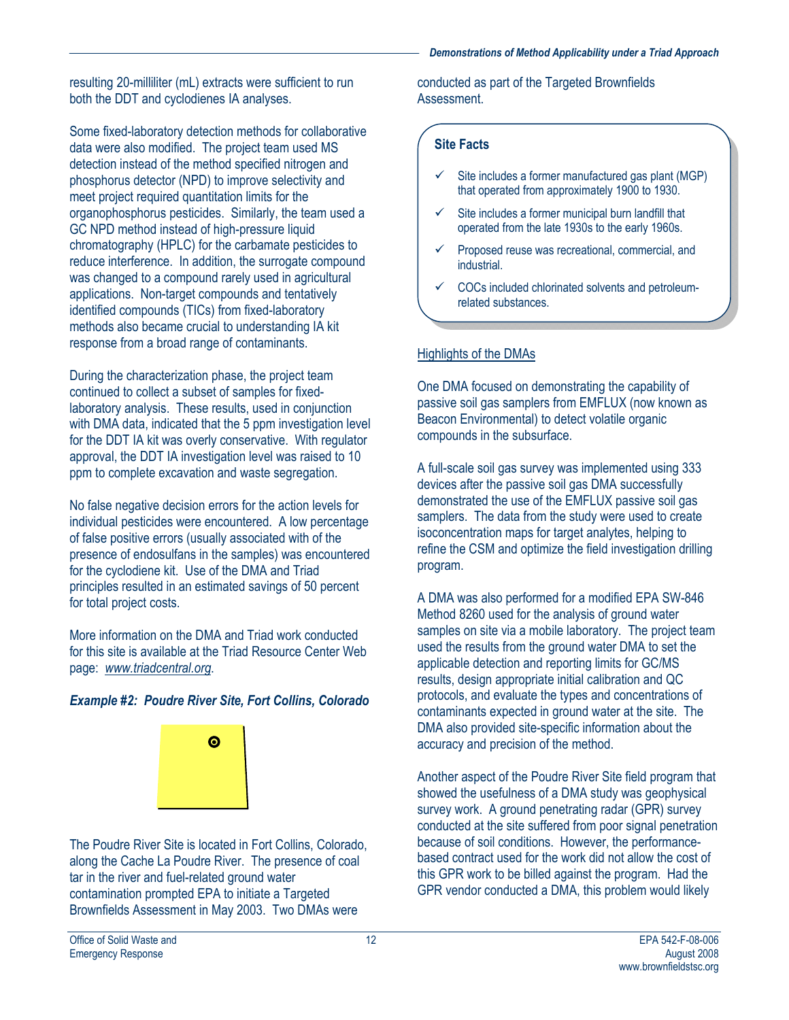resulting 20-milliliter (mL) extracts were sufficient to run both the DDT and cyclodienes IA analyses.

Some fixed-laboratory detection methods for collaborative data were also modified. The project team used MS detection instead of the method specified nitrogen and phosphorus detector (NPD) to improve selectivity and meet project required quantitation limits for the organophosphorus pesticides. Similarly, the team used a GC NPD method instead of high-pressure liquid chromatography (HPLC) for the carbamate pesticides to reduce interference. In addition, the surrogate compound was changed to a compound rarely used in agricultural applications. Non-target compounds and tentatively identified compounds (TICs) from fixed-laboratory methods also became crucial to understanding IA kit response from a broad range of contaminants.

During the characterization phase, the project team continued to collect a subset of samples for fixedlaboratory analysis. These results, used in conjunction with DMA data, indicated that the 5 ppm investigation level for the DDT IA kit was overly conservative. With regulator approval, the DDT IA investigation level was raised to 10 ppm to complete excavation and waste segregation.

No false negative decision errors for the action levels for individual pesticides were encountered. A low percentage of false positive errors (usually associated with of the presence of endosulfans in the samples) was encountered for the cyclodiene kit. Use of the DMA and Triad principles resulted in an estimated savings of 50 percent for total project costs.

More information on the DMA and Triad work conducted for this site is available at the Triad Resource Center Web page: *[www.triadcentral.org](http://www.triadcentral.org)*.

# *Example #2: Poudre River Site, Fort Collins, Colorado*



The Poudre River Site is located in Fort Collins, Colorado, along the Cache La Poudre River. The presence of coal tar in the river and fuel-related ground water contamination prompted EPA to initiate a Targeted Brownfields Assessment in May 2003. Two DMAs were

conducted as part of the Targeted Brownfields Assessment.

# **Site Facts**

- $\checkmark$  Site includes a former manufactured gas plant (MGP) that operated from approximately 1900 to 1930.
- $\checkmark$  Site includes a former municipal burn landfill that operated from the late 1930s to the early 1960s.
- $\checkmark$  Proposed reuse was recreational, commercial, and industrial.
- COCs included chlorinated solvents and petroleumrelated substances.

# Highlights of the DMAs

One DMA focused on demonstrating the capability of passive soil gas samplers from EMFLUX (now known as Beacon Environmental) to detect volatile organic compounds in the subsurface.

A full-scale soil gas survey was implemented using 333 devices after the passive soil gas DMA successfully demonstrated the use of the EMFLUX passive soil gas samplers. The data from the study were used to create isoconcentration maps for target analytes, helping to refine the CSM and optimize the field investigation drilling program.

A DMA was also performed for a modified EPA SW-846 Method 8260 used for the analysis of ground water samples on site via a mobile laboratory. The project team used the results from the ground water DMA to set the applicable detection and reporting limits for GC/MS results, design appropriate initial calibration and QC protocols, and evaluate the types and concentrations of contaminants expected in ground water at the site. The DMA also provided site-specific information about the accuracy and precision of the method.

Another aspect of the Poudre River Site field program that showed the usefulness of a DMA study was geophysical survey work. A ground penetrating radar (GPR) survey conducted at the site suffered from poor signal penetration because of soil conditions. However, the performancebased contract used for the work did not allow the cost of this GPR work to be billed against the program. Had the GPR vendor conducted a DMA, this problem would likely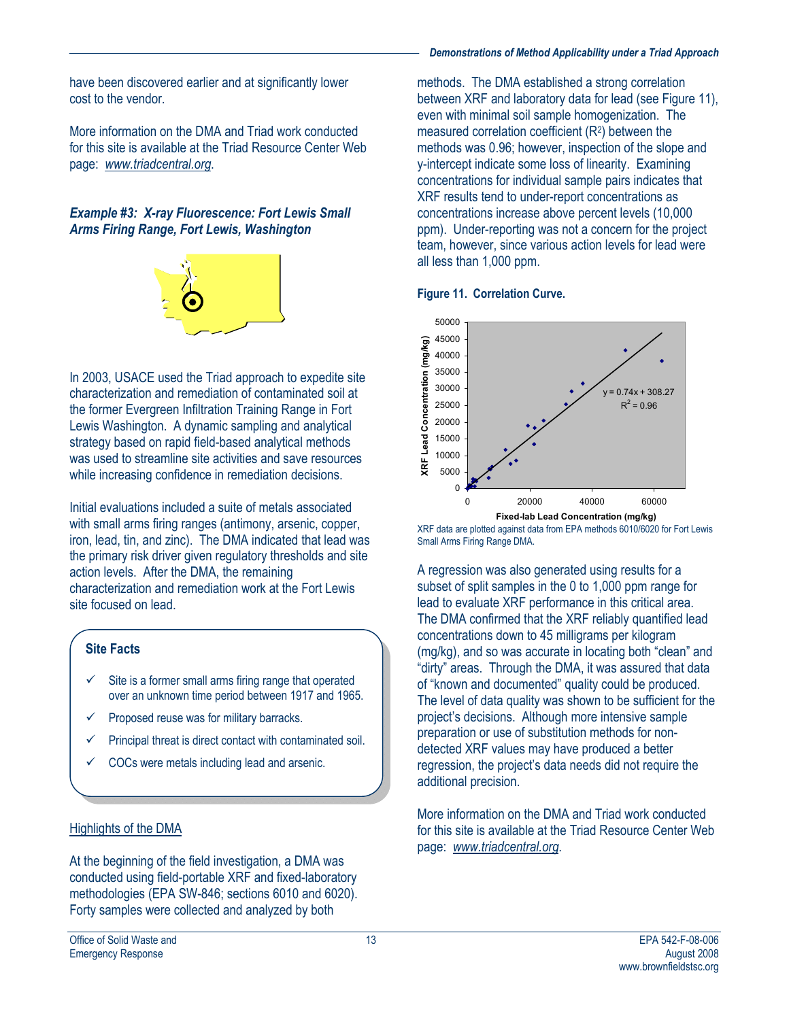have been discovered earlier and at significantly lower cost to the vendor.

More information on the DMA and Triad work conducted for this site is available at the Triad Resource Center Web page: *[www.triadcentral.org](http://www.triadcentral.org)*.

*Example #3: X-ray Fluorescence: Fort Lewis Small Arms Firing Range, Fort Lewis, Washington* 



In 2003, USACE used the Triad approach to expedite site characterization and remediation of contaminated soil at the former Evergreen Infiltration Training Range in Fort Lewis Washington. A dynamic sampling and analytical strategy based on rapid field-based analytical methods was used to streamline site activities and save resources while increasing confidence in remediation decisions.

Initial evaluations included a suite of metals associated with small arms firing ranges (antimony, arsenic, copper, iron, lead, tin, and zinc). The DMA indicated that lead was the primary risk driver given regulatory thresholds and site action levels. After the DMA, the remaining characterization and remediation work at the Fort Lewis site focused on lead.

#### **Site Facts**

- $\checkmark$  Site is a former small arms firing range that operated over an unknown time period between 1917 and 1965.
- Proposed reuse was for military barracks.
- $\checkmark$  Principal threat is direct contact with contaminated soil.
- $\checkmark$  COCs were metals including lead and arsenic.

#### Highlights of the DMA

At the beginning of the field investigation, a DMA was conducted using field-portable XRF and fixed-laboratory methodologies (EPA SW-846; sections 6010 and 6020). Forty samples were collected and analyzed by both

methods. The DMA established a strong correlation between XRF and laboratory data for lead (see Figure 11), even with minimal soil sample homogenization. The measured correlation coefficient (R2) between the methods was 0.96; however, inspection of the slope and y-intercept indicate some loss of linearity. Examining concentrations for individual sample pairs indicates that XRF results tend to under-report concentrations as concentrations increase above percent levels (10,000 ppm). Under-reporting was not a concern for the project team, however, since various action levels for lead were all less than 1,000 ppm.

#### **Figure 11. Correlation Curve.**



XRF data are plotted against data from EPA methods 6010/6020 for Fort Lewis Small Arms Firing Range DMA.

A regression was also generated using results for a subset of split samples in the 0 to 1,000 ppm range for lead to evaluate XRF performance in this critical area. The DMA confirmed that the XRF reliably quantified lead concentrations down to 45 milligrams per kilogram (mg/kg), and so was accurate in locating both "clean" and "dirty" areas. Through the DMA, it was assured that data of "known and documented" quality could be produced. The level of data quality was shown to be sufficient for the project's decisions. Although more intensive sample preparation or use of substitution methods for nondetected XRF values may have produced a better regression, the project's data needs did not require the additional precision.

More information on the DMA and Triad work conducted for this site is available at the Triad Resource Center Web page: *[www.triadcentral.org](http://www.triadcentral.org)*.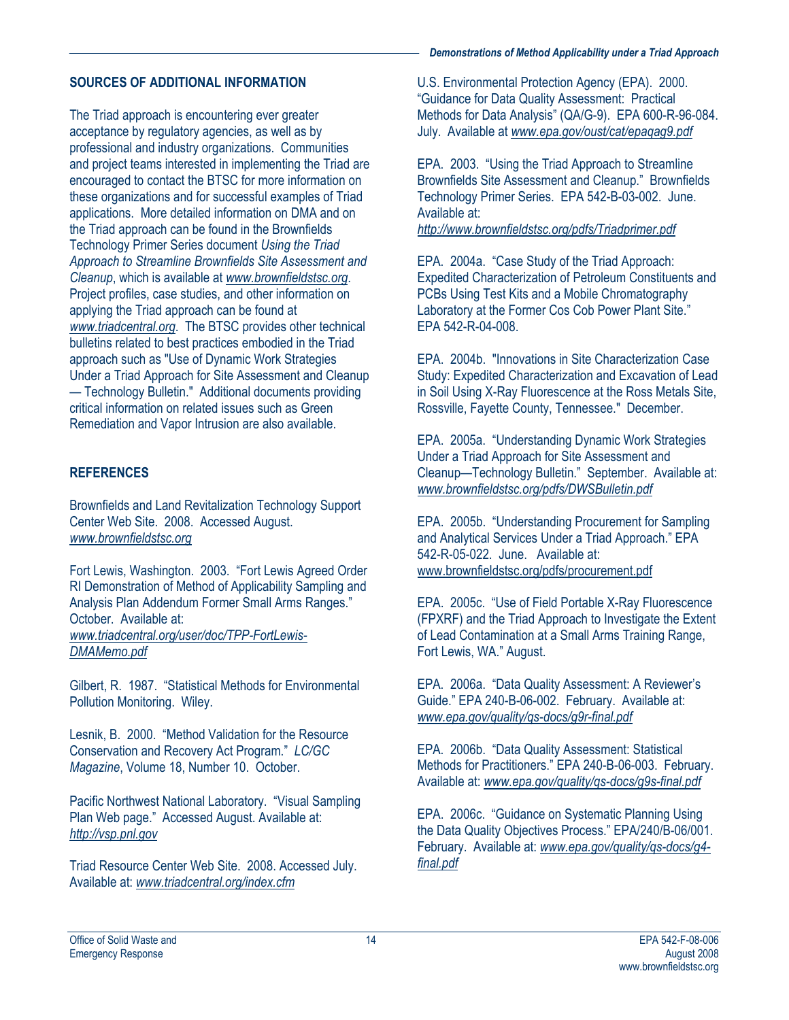## **SOURCES OF ADDITIONAL INFORMATION**

The Triad approach is encountering ever greater acceptance by regulatory agencies, as well as by professional and industry organizations. Communities and project teams interested in implementing the Triad are encouraged to contact the BTSC for more information on these organizations and for successful examples of Triad applications. More detailed information on DMA and on the Triad approach can be found in the Brownfields Technology Primer Series document *Using the Triad Approach to Streamline Brownfields Site Assessment and Cleanup*, which is available at *[www.brownfieldstsc.org](http://www.brownfieldstsc.org)*. Project profiles, case studies, and other information on applying the Triad approach can be found at *[www.triadcentral.org](http://www.triadcentral.org)*. The BTSC provides other technical bulletins related to best practices embodied in the Triad approach such as "Use of Dynamic Work Strategies Under a Triad Approach for Site Assessment and Cleanup — Technology Bulletin." Additional documents providing critical information on related issues such as Green Remediation and Vapor Intrusion are also available.

# **REFERENCES**

Brownfields and Land Revitalization Technology Support Center Web Site. 2008. Accessed August. *[www.brownfieldstsc.org](http://www.brownfieldstsc.org)*

Fort Lewis, Washington. 2003. "Fort Lewis Agreed Order RI Demonstration of Method of Applicability Sampling and Analysis Plan Addendum Former Small Arms Ranges." October. Available at: *[www.triadcentral.org/user/doc/TPP-FortLewis-](http://www.triadcentral.org/user/doc/TPP-FortLewis-DMAMemo.pdf)[DMAMemo.pdf](http://www.triadcentral.org/user/doc/TPP-FortLewis-DMAMemo.pdf)*

Gilbert, R. 1987. "Statistical Methods for Environmental Pollution Monitoring. Wiley.

Lesnik, B. 2000. "Method Validation for the Resource Conservation and Recovery Act Program." *LC/GC Magazine*, Volume 18, Number 10. October.

Pacific Northwest National Laboratory. "Visual Sampling Plan Web page." Accessed August. Available at: *<http://vsp.pnl.gov>*

Triad Resource Center Web Site. 2008. Accessed July. Available at: *[www.triadcentral.org/index.cfm](http://www.triadcentral.org/index.cfm)*

U.S. Environmental Protection Agency (EPA). 2000. "Guidance for Data Quality Assessment: Practical Methods for Data Analysis" (QA/G-9). EPA 600-R-96-084. July. Available at *[www.epa.gov/oust/cat/epaqag9.pdf](http://www.epa.gov/oust/cat/epaqag9.pdf)*

EPA. 2003. "Using the Triad Approach to Streamline Brownfields Site Assessment and Cleanup." Brownfields Technology Primer Series. EPA 542-B-03-002. June. Available at:

*<http://www.brownfieldstsc.org/pdfs/Triadprimer.pdf>*

EPA. 2004a. "Case Study of the Triad Approach: Expedited Characterization of Petroleum Constituents and PCBs Using Test Kits and a Mobile Chromatography Laboratory at the Former Cos Cob Power Plant Site." EPA 542-R-04-008.

EPA. 2004b. "Innovations in Site Characterization Case Study: Expedited Characterization and Excavation of Lead in Soil Using X-Ray Fluorescence at the Ross Metals Site, Rossville, Fayette County, Tennessee." December.

EPA. 2005a. "Understanding Dynamic Work Strategies Under a Triad Approach for Site Assessment and Cleanup—Technology Bulletin." September. Available at: *[www.brownfieldstsc.org/pdfs/DWSBulletin.pdf](http://www.brownfieldstsc.org/pdfs/DWSBulletin.pdf)*

EPA. 2005b. "Understanding Procurement for Sampling and Analytical Services Under a Triad Approach." EPA 542-R-05-022. June. Available at: [www.brownfieldstsc.org/pdfs/procurement.pdf](http://www.brownfieldstsc.org/pdfs/procurement.pdf)

EPA. 2005c. "Use of Field Portable X-Ray Fluorescence (FPXRF) and the Triad Approach to Investigate the Extent of Lead Contamination at a Small Arms Training Range, Fort Lewis, WA." August.

EPA. 2006a. "Data Quality Assessment: A Reviewer's Guide." EPA 240-B-06-002. February. Available at: *[www.epa.gov/quality/qs-docs/g9r-final.pdf](http://www.epa.gov/quality/qs-docs/g9r-final.pdf)*

EPA. 2006b. "Data Quality Assessment: Statistical Methods for Practitioners." EPA 240-B-06-003. February. Available at: *[www.epa.gov/quality/qs-docs/g9s-final.pdf](http://www.epa.gov/quality/qs-docs/g9s-final.pdf)*

EPA. 2006c. "Guidance on Systematic Planning Using the Data Quality Objectives Process." EPA/240/B-06/001. February. Available at: *[www.epa.gov/quality/qs-docs/g4](http://www.epa.gov/quality/qs-docs/g4-final.pdf) [final.pdf](http://www.epa.gov/quality/qs-docs/g4-final.pdf)*